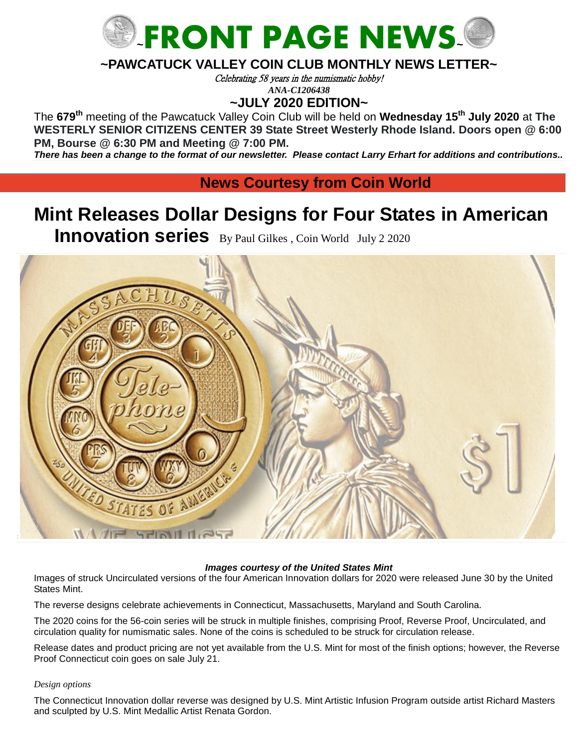

## **~PAWCATUCK VALLEY COIN CLUB MONTHLY NEWS LETTER~**

Celebrating 58 years in the numismatic hobby!

*ANA-C1206438*

**~JULY 2020 EDITION~**

The **679 th** meeting of the Pawcatuck Valley Coin Club will be held on **Wednesday 15 th July 2020** at **The WESTERLY SENIOR CITIZENS CENTER 39 State Street Westerly Rhode Island. Doors open @ 6:00 PM, Bourse @ 6:30 PM and Meeting @ 7:00 PM.**

*There has been a change to the format of our newsletter. Please contact Larry Erhart for additions and contributions..* 

**News Courtesy from Coin World** 

# **Mint Releases Dollar Designs for Four States in American**

**Innovation series** By [Paul Gilkes](https://www.coinworld.com/authors/paul-gilkes.html), Coin World July 2 2020



#### *Images courtesy of the United States Mint*

Images of struck Uncirculated versions of the four American Innovation dollars for 2020 were released June 30 by the United States Mint.

The reverse designs celebrate achievements in Connecticut, Massachusetts, Maryland and South Carolina.

The 2020 coins for the 56-coin series will be struck in multiple finishes, comprising Proof, Reverse Proof, Uncirculated, and circulation quality for numismatic sales. None of the coins is scheduled to be struck for circulation release.

Release dates and product pricing are not yet available from the U.S. Mint for most of the finish options; however, the Reverse Proof Connecticut coin goes on sale July 21.

#### *Design options*

The Connecticut Innovation dollar reverse was designed by U.S. Mint Artistic Infusion Program outside artist Richard Masters and sculpted by U.S. Mint Medallic Artist Renata Gordon.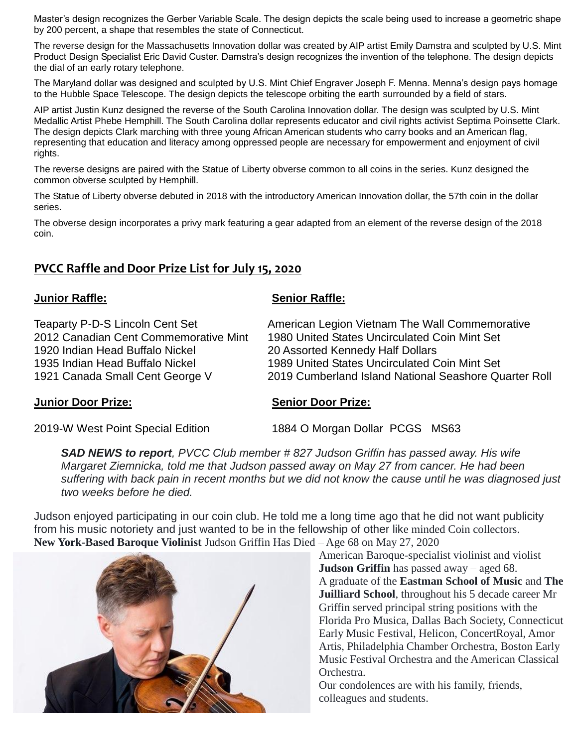Master's design recognizes the Gerber Variable Scale. The design depicts the scale being used to increase a geometric shape by 200 percent, a shape that resembles the state of Connecticut.

The reverse design for the Massachusetts Innovation dollar was created by AIP artist Emily Damstra and sculpted by U.S. Mint Product Design Specialist Eric David Custer. Damstra's design recognizes the invention of the telephone. The design depicts the dial of an early rotary telephone.

The Maryland dollar was designed and sculpted by U.S. Mint Chief Engraver Joseph F. Menna. Menna's design pays homage to the Hubble Space Telescope. The design depicts the telescope orbiting the earth surrounded by a field of stars.

AIP artist Justin Kunz designed the reverse of the South Carolina Innovation dollar. The design was sculpted by U.S. Mint Medallic Artist Phebe Hemphill. The South Carolina dollar represents educator and civil rights activist Septima Poinsette Clark. The design depicts Clark marching with three young African American students who carry books and an American flag, representing that education and literacy among oppressed people are necessary for empowerment and enjoyment of civil rights.

The reverse designs are paired with the Statue of Liberty obverse common to all coins in the series. Kunz designed the common obverse sculpted by Hemphill.

The Statue of Liberty obverse debuted in 2018 with the introductory American Innovation dollar, the 57th coin in the dollar series.

The obverse design incorporates a privy mark featuring a gear adapted from an element of the reverse design of the 2018 coin.

# **PVCC Raffle and Door Prize List for July 15, 2020**

### **Junior Raffle: Senior Raffle:**

1920 Indian Head Buffalo Nickel 20 Assorted Kennedy Half Dollars

Teaparty P-D-S Lincoln Cent Set American Legion Vietnam The Wall Commemorative 2012 Canadian Cent Commemorative Mint 1980 United States Uncirculated Coin Mint Set 1935 Indian Head Buffalo Nickel 1989 United States Uncirculated Coin Mint Set 1921 Canada Small Cent George V 2019 Cumberland Island National Seashore Quarter Roll

### **Junior Door Prize: Senior Door Prize:**

2019-W West Point Special Edition 1884 O Morgan Dollar PCGS MS63

*SAD NEWS to report, PVCC Club member # 827 Judson Griffin has passed away. His wife Margaret Ziemnicka, told me that Judson passed away on May 27 from cancer. He had been suffering with back pain in recent months but we did not know the cause until he was diagnosed just two weeks before he died.*

Judson enjoyed participating in our coin club. He told me a long time ago that he did not want publicity from his music notoriety and just wanted to be in the fellowship of other like minded Coin collectors. **New York-Based Baroque Violinist** Judson Griffin Has Died – Age 68 on May 27, 2020



American Baroque-specialist violinist and violist **Judson Griffin** has passed away – aged 68. A graduate of the **Eastman School of Music** and **The Juilliard School**, throughout his 5 decade career Mr Griffin served principal string positions with the Florida Pro Musica, Dallas Bach Society, Connecticut Early Music Festival, Helicon, ConcertRoyal, Amor Artis, Philadelphia Chamber Orchestra, Boston Early Music Festival Orchestra and the American Classical Orchestra.

Our condolences are with his family, friends, colleagues and students.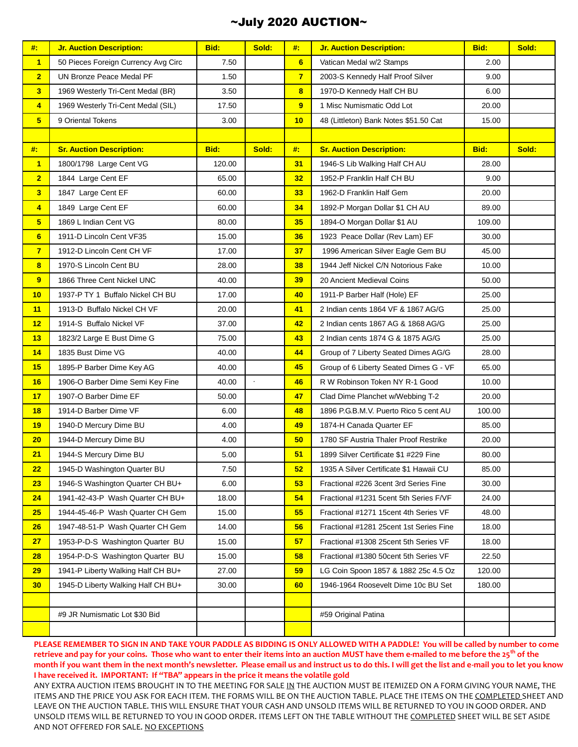## ~July 2020 AUCTION~

| #                       | <b>Jr. Auction Description:</b>     | Bid:   | Sold:   | #:             | <b>Jr. Auction Description:</b>         | Bid:   | Sold: |
|-------------------------|-------------------------------------|--------|---------|----------------|-----------------------------------------|--------|-------|
| $\overline{\mathbf{1}}$ | 50 Pieces Foreign Currency Avg Circ | 7.50   |         | 6 <sup>1</sup> | Vatican Medal w/2 Stamps                | 2.00   |       |
| $\overline{2}$          | UN Bronze Peace Medal PF            | 1.50   |         | $\overline{7}$ | 2003-S Kennedy Half Proof Silver        | 9.00   |       |
| 3                       | 1969 Westerly Tri-Cent Medal (BR)   | 3.50   |         | $\bf{8}$       | 1970-D Kennedy Half CH BU               | 6.00   |       |
| 4                       | 1969 Westerly Tri-Cent Medal (SIL)  | 17.50  |         | 9              | 1 Misc Numismatic Odd Lot               | 20.00  |       |
| $5\phantom{.0}$         | 9 Oriental Tokens                   | 3.00   |         | 10             | 48 (Littleton) Bank Notes \$51.50 Cat   | 15.00  |       |
|                         |                                     |        |         |                |                                         |        |       |
| #                       | <b>Sr. Auction Description:</b>     | Bid:   | Sold:   | #:             | <b>Sr. Auction Description:</b>         | Bid:   | Sold: |
| $\overline{\mathbf{1}}$ | 1800/1798 Large Cent VG             | 120.00 |         | 31             | 1946-S Lib Walking Half CH AU           | 28.00  |       |
| $\overline{2}$          | 1844 Large Cent EF                  | 65.00  |         | 32             | 1952-P Franklin Half CH BU              | 9.00   |       |
| $\overline{\mathbf{3}}$ | 1847 Large Cent EF                  | 60.00  |         | 33             | 1962-D Franklin Half Gem                | 20.00  |       |
| 4                       | 1849 Large Cent EF                  | 60.00  |         | 34             | 1892-P Morgan Dollar \$1 CH AU          | 89.00  |       |
| $5\phantom{.0}$         | 1869 L Indian Cent VG               | 80.00  |         | 35             | 1894-O Morgan Dollar \$1 AU             | 109.00 |       |
| 6                       | 1911-D Lincoln Cent VF35            | 15.00  |         | 36             | 1923 Peace Dollar (Rev Lam) EF          | 30.00  |       |
| $\overline{7}$          | 1912-D Lincoln Cent CH VF           | 17.00  |         | 37             | 1996 American Silver Eagle Gem BU       | 45.00  |       |
| $\overline{\mathbf{8}}$ | 1970-S Lincoln Cent BU              | 28.00  |         | 38             | 1944 Jeff Nickel C/N Notorious Fake     | 10.00  |       |
| 9                       | 1866 Three Cent Nickel UNC          | 40.00  |         | 39             | 20 Ancient Medieval Coins               | 50.00  |       |
| 10                      | 1937-P TY 1 Buffalo Nickel CH BU    | 17.00  |         | 40             | 1911-P Barber Half (Hole) EF            | 25.00  |       |
| 11                      | 1913-D Buffalo Nickel CH VF         | 20.00  |         | 41             | 2 Indian cents 1864 VF & 1867 AG/G      | 25.00  |       |
| 12                      | 1914-S Buffalo Nickel VF            | 37.00  |         | 42             | 2 Indian cents 1867 AG & 1868 AG/G      | 25.00  |       |
| 13                      | 1823/2 Large E Bust Dime G          | 75.00  |         | 43             | 2 Indian cents 1874 G & 1875 AG/G       | 25.00  |       |
| 14                      | 1835 Bust Dime VG                   | 40.00  |         | 44             | Group of 7 Liberty Seated Dimes AG/G    | 28.00  |       |
| 15                      | 1895-P Barber Dime Key AG           | 40.00  |         | 45             | Group of 6 Liberty Seated Dimes G - VF  | 65.00  |       |
| 16                      | 1906-O Barber Dime Semi Key Fine    | 40.00  | $\cdot$ | 46             | R W Robinson Token NY R-1 Good          | 10.00  |       |
| 17                      | 1907-O Barber Dime EF               | 50.00  |         | 47             | Clad Dime Planchet w/Webbing T-2        | 20.00  |       |
| 18                      | 1914-D Barber Dime VF               | 6.00   |         | 48             | 1896 P.G.B.M.V. Puerto Rico 5 cent AU   | 100.00 |       |
| 19                      | 1940-D Mercury Dime BU              | 4.00   |         | 49             | 1874-H Canada Quarter EF                | 85.00  |       |
| 20                      | 1944-D Mercury Dime BU              | 4.00   |         | 50             | 1780 SF Austria Thaler Proof Restrike   | 20.00  |       |
| 21                      | 1944-S Mercury Dime BU              | 5.00   |         | 51             | 1899 Silver Certificate \$1 #229 Fine   | 80.00  |       |
| 22                      | 1945-D Washington Quarter BU        | 7.50   |         | 52             | 1935 A Silver Certificate \$1 Hawaii CU | 85.00  |       |
| 23                      | 1946-S Washington Quarter CH BU+    | 6.00   |         | 53             | Fractional #226 3cent 3rd Series Fine   | 30.00  |       |
| 24                      | 1941-42-43-P Wash Quarter CH BU+    | 18.00  |         | 54             | Fractional #1231 5cent 5th Series F/VF  | 24.00  |       |
| 25                      | 1944-45-46-P Wash Quarter CH Gem    | 15.00  |         | 55             | Fractional #1271 15cent 4th Series VF   | 48.00  |       |
| 26                      | 1947-48-51-P Wash Quarter CH Gem    | 14.00  |         | 56             | Fractional #1281 25cent 1st Series Fine | 18.00  |       |
| 27                      | 1953-P-D-S Washington Quarter BU    | 15.00  |         | 57             | Fractional #1308 25cent 5th Series VF   | 18.00  |       |
| 28                      | 1954-P-D-S Washington Quarter BU    | 15.00  |         | 58             | Fractional #1380 50cent 5th Series VF   | 22.50  |       |
| 29                      | 1941-P Liberty Walking Half CH BU+  | 27.00  |         | 59             | LG Coin Spoon 1857 & 1882 25c 4.5 Oz    | 120.00 |       |
| 30 <sub>2</sub>         | 1945-D Liberty Walking Half CH BU+  | 30.00  |         | 60             | 1946-1964 Roosevelt Dime 10c BU Set     | 180.00 |       |
|                         |                                     |        |         |                |                                         |        |       |
|                         | #9 JR Numismatic Lot \$30 Bid       |        |         |                | #59 Original Patina                     |        |       |
|                         |                                     |        |         |                |                                         |        |       |

**PLEASE REMEMBER TO SIGN IN AND TAKE YOUR PADDLE AS BIDDING IS ONLY ALLOWED WITH A PADDLE! You will be called by number to come retrieve and pay for your coins. Those who want to enter their items into an auction MUST have them e-mailed to me before the 25th of the month if you want them in the next month's newsletter. Please email us and instruct us to do this. I will get the list and e-mail you to let you know I have received it. IMPORTANT: If "TBA" appears in the price it means the volatile gold**

ANY EXTRA AUCTION ITEMS BROUGHT IN TO THE MEETING FOR SALE IN THE AUCTION MUST BE ITEMIZED ON A FORM GIVING YOUR NAME, THE ITEMS AND THE PRICE YOU ASK FOR EACH ITEM. THE FORMS WILL BE ON THE AUCTION TABLE. PLACE THE ITEMS ON THE COMPLETED SHEET AND LEAVE ON THE AUCTION TABLE. THIS WILL ENSURE THAT YOUR CASH AND UNSOLD ITEMS WILL BE RETURNED TO YOU IN GOOD ORDER. AND UNSOLD ITEMS WILL BE RETURNED TO YOU IN GOOD ORDER. ITEMS LEFT ON THE TABLE WITHOUT THE COMPLETED SHEET WILL BE SET ASIDE AND NOT OFFERED FOR SALE. NO EXCEPTIONS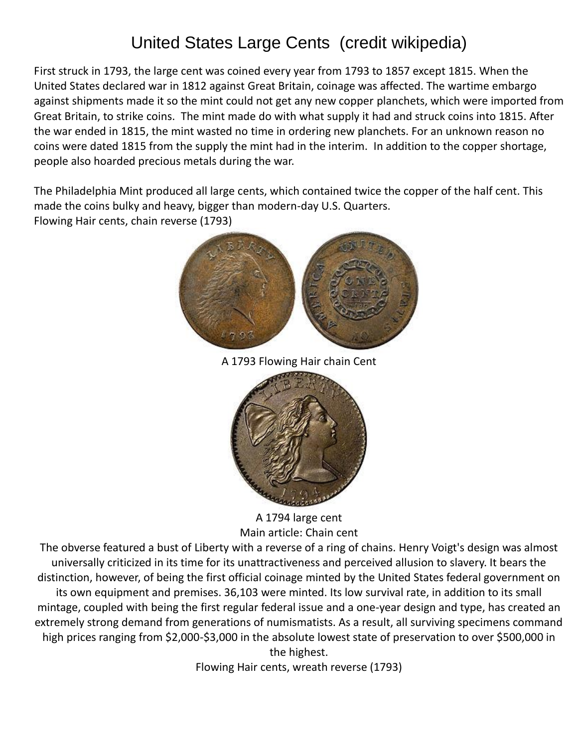# United States Large Cents (credit wikipedia)

First struck in 1793, the large cent was coined every year from 1793 to 1857 except 1815. When the United States [declared war](https://en.wikipedia.org/wiki/War_of_1812) in 1812 against [Great Britain,](https://en.wikipedia.org/wiki/Great_Britain) coinage was affected. The wartime embargo against shipments made it so the mint could not get any new copper [planchets,](https://en.wikipedia.org/wiki/Planchet) which were imported from Great Britain, to strike coins. The mint made do with what supply it had and struck coins into 1815. After the war ended in 1815, the mint wasted no time in ordering new planchets. For an unknown reason no coins were dated 1815 from the supply the mint had in the interim. In addition to the copper shortage, people also hoarded precious metals during the war.

The Philadelphia Mint produced all large cents, which contained twice the copper of the [half cent.](https://en.wikipedia.org/wiki/Half_cent_(United_States_coin)) This made the coins bulky and heavy, bigger than modern-day [U.S. Quarters.](https://en.wikipedia.org/wiki/Quarter_(United_States_coin)) Flowing Hair cents, chain reverse (1793)



A 1793 Flowing Hair chain Cent



A 1794 large cent Main article: [Chain cent](https://en.wikipedia.org/wiki/Chain_cent)

The obverse featured a bust of [Liberty](https://en.wikipedia.org/wiki/Liberty_(goddess)) with a reverse of a ring of chains. [Henry Voigt'](https://en.wikipedia.org/wiki/Henry_Voigt)s design was almost universally criticized in its time for its unattractiveness and perceived allusion to slavery. It bears the distinction, however, of being the first official coinage minted by the United States federal government on its own equipment and premises. 36,103 were minted. Its low survival rate, in addition to its small mintage, coupled with being the first regular federal issue and a one-year design and type, has created an extremely strong demand from generations of numismatists. As a result, all surviving specimens command high prices ranging from \$2,000-\$3,000 in the absolute lowest state of preservation to over \$500,000 in the highest.

Flowing Hair cents, wreath reverse (1793)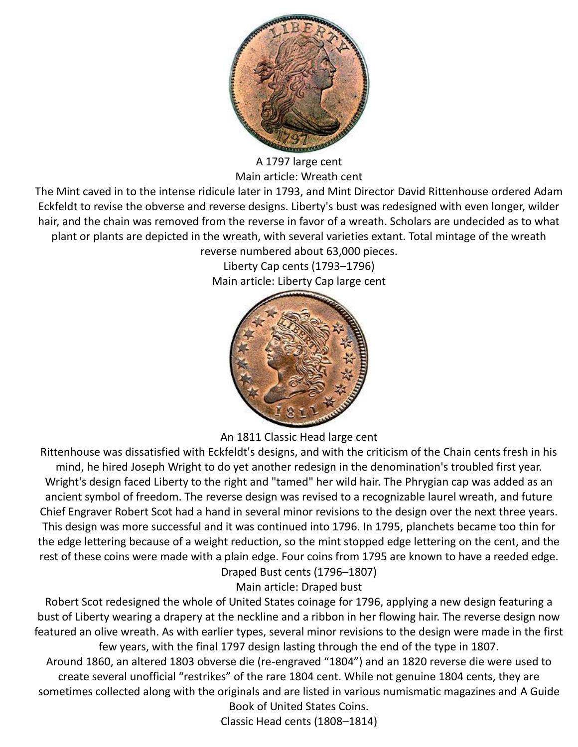

A 1797 large cent Main article: [Wreath cent](https://en.wikipedia.org/wiki/Wreath_cent)

The Mint caved in to the intense ridicule later in 1793, and Mint Director [David Rittenhouse](https://en.wikipedia.org/wiki/David_Rittenhouse) ordered [Adam](https://en.wikipedia.org/wiki/Adam_Eckfeldt)  [Eckfeldt](https://en.wikipedia.org/wiki/Adam_Eckfeldt) to revise the obverse and reverse designs. Liberty's bust was redesigned with even longer, wilder hair, and the chain was removed from the reverse in favor of a wreath. Scholars are undecided as to what plant or plants are depicted in the wreath, with several varieties extant. Total mintage of the wreath reverse numbered about 63,000 pieces.

Liberty Cap cents (1793–1796) Main article: [Liberty Cap large cent](https://en.wikipedia.org/wiki/Liberty_Cap_large_cent)



An 1811 Classic Head large cent

Rittenhouse was dissatisfied with Eckfeldt's designs, and with the criticism of the Chain cents fresh in his mind, he hired [Joseph Wright](https://en.wikipedia.org/wiki/Joseph_Wright_(American_painter)) to do yet another redesign in the denomination's troubled first year. Wright's design faced Liberty to the right and "tamed" her wild hair. The [Phrygian cap](https://en.wikipedia.org/wiki/Phrygian_cap) was added as an ancient symbol of freedom. The reverse design was revised to a recognizable laurel wreath, and future Chief Engraver [Robert Scot](https://en.wikipedia.org/wiki/Robert_Scot) had a hand in several minor revisions to the design over the next three years. This design was more successful and it was continued into 1796. In 1795, [planchets](https://en.wikipedia.org/wiki/Planchet) became too thin for the edge lettering because of a weight reduction, so the mint stopped edge lettering on the cent, and the rest of these coins were made with a plain edge. Four coins from 1795 are known to have a reeded edge. Draped Bust cents (1796–1807)

Main article: [Draped bust](https://en.wikipedia.org/wiki/Draped_bust)

Robert Scot redesigned the whole of United States coinage for 1796, applying a new design featuring a bust of Liberty wearing a drapery at the neckline and a ribbon in her flowing hair. The reverse design now featured an olive wreath. As with earlier types, several minor revisions to the design were made in the first few years, with the final 1797 design lasting through the end of the type in 1807.

Around 1860, an altered 1803 obverse die (re-engraved "1804") and an 1820 reverse die were used to create several unofficial "restrikes" of the rare 1804 cent. While not genuine 1804 cents, they are sometimes collected along with the originals and are listed in various numismatic magazines and [A Guide](https://en.wikipedia.org/wiki/A_Guide_Book_of_United_States_Coins)  [Book of United States Coins.](https://en.wikipedia.org/wiki/A_Guide_Book_of_United_States_Coins)

Classic Head cents (1808–1814)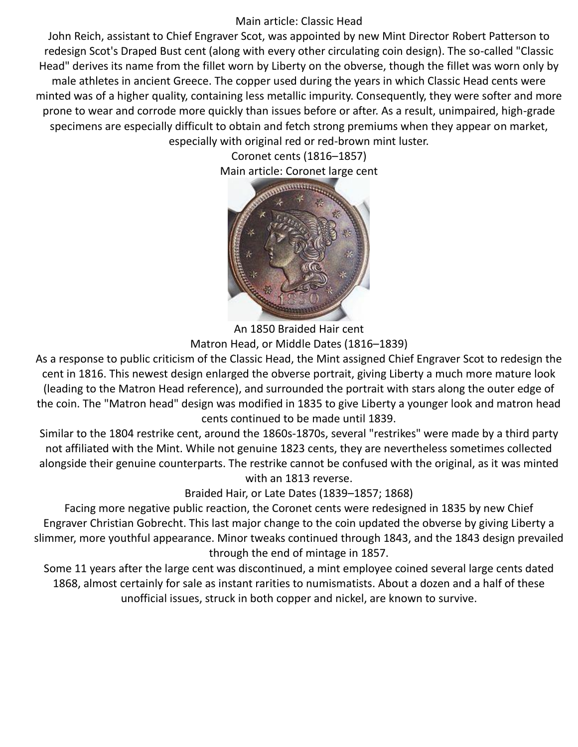## Main article: [Classic Head](https://en.wikipedia.org/wiki/Classic_Head)

John Reich, assistant to Chief Engraver Scot, was appointed by new Mint Director [Robert Patterson](https://en.wikipedia.org/wiki/Robert_Patterson_(educator)) to redesign Scot's Draped Bust cent (along with every other circulating coin design). The so-called "Classic Head" derives its name from the [fillet](https://en.wikipedia.org/wiki/Headgear#Fillets) worn by Liberty on the obverse, though the fillet was worn only by male athletes in ancient Greece. The copper used during the years in which Classic Head cents were minted was of a higher quality, containing less metallic impurity. Consequently, they were softer and more prone to wear and corrode more quickly than issues before or after. As a result, unimpaired, high-grade specimens are especially difficult to obtain and fetch strong premiums when they appear on market, especially with original red or red-brown mint luster.

> Coronet cents (1816–1857) Main article: [Coronet large cent](https://en.wikipedia.org/wiki/Coronet_large_cent)



An 1850 Braided Hair cent

Matron Head, or Middle Dates (1816–1839)

As a response to public criticism of the Classic Head, the Mint assigned Chief Engraver Scot to redesign the cent in 1816. This newest design enlarged the obverse portrait, giving Liberty a much more mature look (leading to the Matron Head reference), and surrounded the portrait with stars along the outer edge of the coin. The "Matron head" design was modified in 1835 to give Liberty a younger look and matron head cents continued to be made until 1839.

Similar to the 1804 restrike cent, around the 1860s-1870s, several "restrikes" were made by a third party not affiliated with the Mint. While not genuine 1823 cents, they are nevertheless sometimes collected alongside their genuine counterparts. The restrike cannot be confused with the original, as it was minted with an 1813 reverse.

Braided Hair, or Late Dates (1839–1857; 1868)

Facing more negative public reaction, the Coronet cents were redesigned in 1835 by new Chief Engraver [Christian Gobrecht.](https://en.wikipedia.org/wiki/Christian_Gobrecht) This last major change to the coin updated the obverse by giving Liberty a slimmer, more youthful appearance. Minor tweaks continued through 1843, and the 1843 design prevailed through the end of mintage in 1857.

Some 11 years after the large cent was discontinued, a mint employee coined several large cents dated 1868, almost certainly for sale as instant rarities to numismatists. About a dozen and a half of these unofficial issues, struck in both copper and nickel, are known to survive.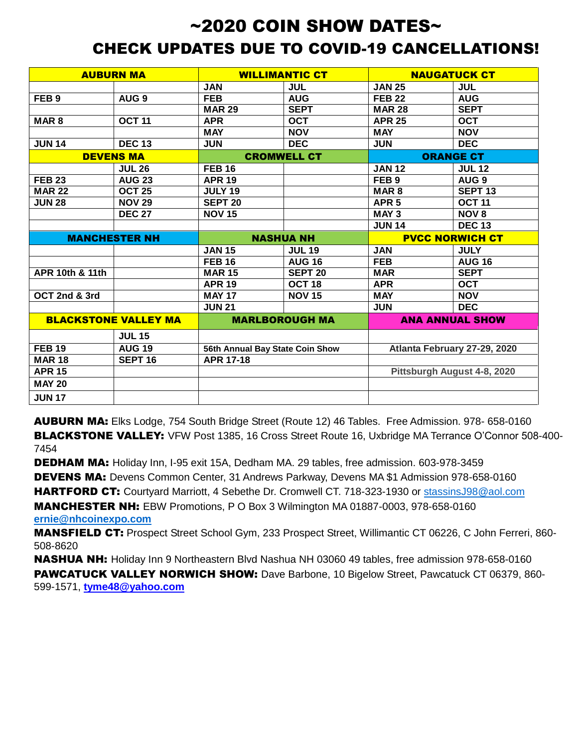# $\sim$ 2020 COIN SHOW DATES $\sim$ CHECK UPDATES DUE TO COVID-19 CANCELLATIONS!

|                      | <b>AUBURN MA</b>            |                                 | <b>WILLIMANTIC CT</b> | <b>NAUGATUCK CT</b>    |                              |  |
|----------------------|-----------------------------|---------------------------------|-----------------------|------------------------|------------------------------|--|
|                      |                             | <b>JAN</b>                      | <b>JUL</b>            | <b>JAN 25</b>          | <b>JUL</b>                   |  |
| FEB <sub>9</sub>     | AUG <sub>9</sub>            | <b>FEB</b>                      | <b>AUG</b>            | <b>FEB 22</b>          | <b>AUG</b>                   |  |
|                      |                             | <b>MAR 29</b>                   | <b>SEPT</b>           | <b>MAR 28</b>          | <b>SEPT</b>                  |  |
| MAR <sub>8</sub>     | <b>OCT 11</b>               | <b>APR</b>                      | <b>OCT</b>            | <b>APR 25</b>          | <b>OCT</b>                   |  |
|                      |                             | <b>MAY</b>                      | <b>NOV</b>            | <b>MAY</b>             | <b>NOV</b>                   |  |
| <b>JUN 14</b>        | <b>DEC 13</b>               | <b>JUN</b>                      | <b>DEC</b>            | <b>JUN</b>             | <b>DEC</b>                   |  |
| <b>DEVENS MA</b>     |                             | <b>CROMWELL CT</b>              |                       | <b>ORANGE CT</b>       |                              |  |
|                      | <b>JUL 26</b>               | <b>FEB 16</b>                   |                       | <b>JAN 12</b>          | <b>JUL 12</b>                |  |
| <b>FEB 23</b>        | <b>AUG 23</b>               | <b>APR 19</b>                   |                       | FEB <sub>9</sub>       | AUG <sub>9</sub>             |  |
| <b>MAR 22</b>        | <b>OCT 25</b>               | <b>JULY 19</b>                  |                       | MAR <sub>8</sub>       | <b>SEPT 13</b>               |  |
| <b>JUN 28</b>        | <b>NOV 29</b>               | <b>SEPT 20</b>                  |                       | APR <sub>5</sub>       | <b>OCT 11</b>                |  |
|                      | <b>DEC 27</b>               | <b>NOV 15</b>                   |                       | MAY <sub>3</sub>       | <b>NOV 8</b>                 |  |
|                      |                             |                                 |                       | <b>JUN 14</b>          | <b>DEC 13</b>                |  |
| <b>MANCHESTER NH</b> |                             | <b>NASHUA NH</b>                |                       | <b>PVCC NORWICH CT</b> |                              |  |
|                      |                             | <b>JAN 15</b>                   | <b>JUL 19</b>         | <b>JAN</b>             | <b>JULY</b>                  |  |
|                      |                             | <b>FEB 16</b>                   | <b>AUG 16</b>         | <b>FEB</b>             | <b>AUG 16</b>                |  |
| APR 10th & 11th      |                             | <b>MAR 15</b>                   | <b>SEPT 20</b>        | <b>MAR</b>             | <b>SEPT</b>                  |  |
|                      |                             | <b>APR 19</b>                   | OCT <sub>18</sub>     | <b>APR</b>             | <b>OCT</b>                   |  |
| OCT 2nd & 3rd        |                             |                                 |                       |                        |                              |  |
|                      |                             | <b>MAY 17</b>                   | <b>NOV 15</b>         | <b>MAY</b>             | <b>NOV</b>                   |  |
|                      |                             | <b>JUN 21</b>                   |                       | <b>JUN</b>             | <b>DEC</b>                   |  |
|                      | <b>BLACKSTONE VALLEY MA</b> |                                 | <b>MARLBOROUGH MA</b> |                        | <b>ANA ANNUAL SHOW</b>       |  |
|                      | <b>JUL 15</b>               |                                 |                       |                        |                              |  |
| <b>FEB 19</b>        | <b>AUG 19</b>               | 56th Annual Bay State Coin Show |                       |                        | Atlanta February 27-29, 2020 |  |
| <b>MAR 18</b>        | SEPT <sub>16</sub>          | <b>APR 17-18</b>                |                       |                        |                              |  |
| <b>APR 15</b>        |                             |                                 |                       |                        | Pittsburgh August 4-8, 2020  |  |
| <b>MAY 20</b>        |                             |                                 |                       |                        |                              |  |

AUBURN MA: Elks Lodge, 754 South Bridge Street (Route 12) 46 Tables. Free Admission. 978- 658-0160 BLACKSTONE VALLEY: VFW Post 1385, 16 Cross Street Route 16, Uxbridge MA Terrance O'Connor 508-400- 7454

DEDHAM MA: Holiday Inn, I-95 exit 15A, Dedham MA. 29 tables, free admission. 603-978-3459

DEVENS MA: Devens Common Center, 31 Andrews Parkway, Devens MA \$1 Admission 978-658-0160

HARTFORD CT: Courtyard Marriott, 4 Sebethe Dr. Cromwell CT. 718-323-1930 or [stassinsJ98@aol.com](mailto:stassinsJ98@aol.com)

MANCHESTER NH: EBW Promotions, P O Box 3 Wilmington MA 01887-0003, 978-658-0160 **[ernie@nhcoinexpo.com](mailto:ernie@nhcoinexpo.com)**

MANSFIELD CT: Prospect Street School Gym, 233 Prospect Street, Willimantic CT 06226, C John Ferreri, 860- 508-8620

NASHUA NH: Holiday Inn 9 Northeastern Blvd Nashua NH 03060 49 tables, free admission 978-658-0160 PAWCATUCK VALLEY NORWICH SHOW: Dave Barbone, 10 Bigelow Street, Pawcatuck CT 06379, 860-599-1571, **tyme48@yahoo.com**